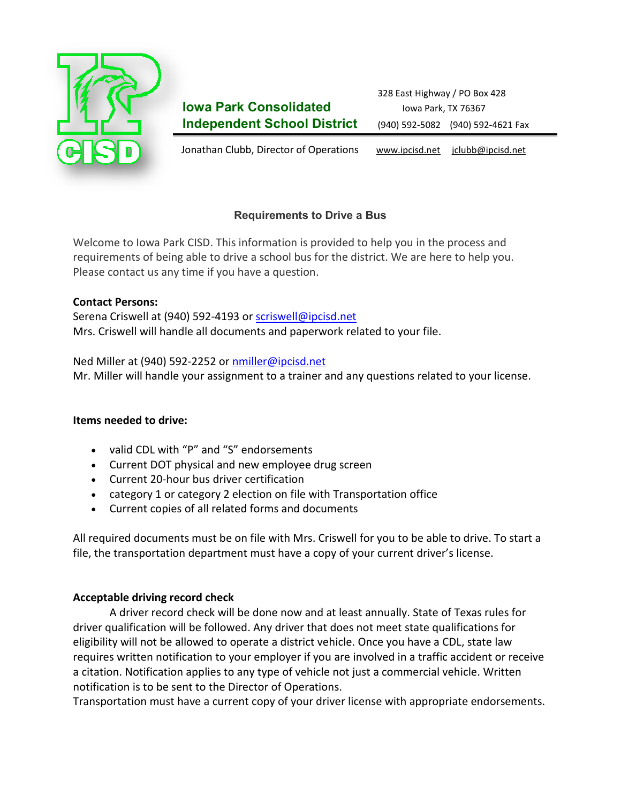

# **Iowa Park Consolidated Iowa Park, TX 76367 Independent School District** (940) 592-5082 (940) 592-4621 Fax

Jonathan Clubb, Director of Operations [www.ipcisd.net](http://www.ipcisd.net/) jclubb@ipcisd.net

# **Requirements to Drive a Bus**

Welcome to Iowa Park CISD. This information is provided to help you in the process and requirements of being able to drive a school bus for the district. We are here to help you. Please contact us any time if you have a question.

# **Contact Persons:**

Serena Criswell at (940) 592-4193 or [scriswell@ipcisd.net](http://trodriguez@c-isd.com/) Mrs. Criswell will handle all documents and paperwork related to your file.

### Ned Miller at (940) 592-2252 or [nmiller@ipcisd.net](http://asandel@c-isd.com/)

Mr. Miller will handle your assignment to a trainer and any questions related to your license.

# **Items needed to drive:**

- valid CDL with "P" and "S" endorsements
- Current DOT physical and new employee drug screen
- Current 20-hour bus driver certification
- category 1 or category 2 election on file with Transportation office
- Current copies of all related forms and documents

All required documents must be on file with Mrs. Criswell for you to be able to drive. To start a file, the transportation department must have a copy of your current driver's license.

# **Acceptable driving record check**

A driver record check will be done now and at least annually. State of Texas rules for driver qualification will be followed. Any driver that does not meet state qualifications for eligibility will not be allowed to operate a district vehicle. Once you have a CDL, state law requires written notification to your employer if you are involved in a traffic accident or receive a citation. Notification applies to any type of vehicle not just a commercial vehicle. Written notification is to be sent to the Director of Operations.

Transportation must have a current copy of your driver license with appropriate endorsements.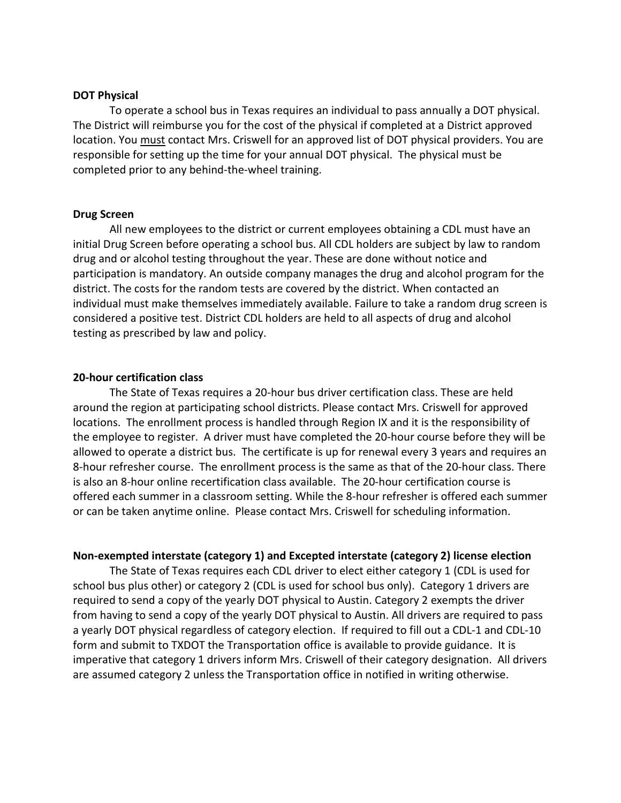#### **DOT Physical**

To operate a school bus in Texas requires an individual to pass annually a DOT physical. The District will reimburse you for the cost of the physical if completed at a District approved location. You must contact Mrs. Criswell for an approved list of DOT physical providers. You are responsible for setting up the time for your annual DOT physical. The physical must be completed prior to any behind-the-wheel training.

#### **Drug Screen**

All new employees to the district or current employees obtaining a CDL must have an initial Drug Screen before operating a school bus. All CDL holders are subject by law to random drug and or alcohol testing throughout the year. These are done without notice and participation is mandatory. An outside company manages the drug and alcohol program for the district. The costs for the random tests are covered by the district. When contacted an individual must make themselves immediately available. Failure to take a random drug screen is considered a positive test. District CDL holders are held to all aspects of drug and alcohol testing as prescribed by law and policy.

#### **20-hour certification class**

The State of Texas requires a 20-hour bus driver certification class. These are held around the region at participating school districts. Please contact Mrs. Criswell for approved locations. The enrollment process is handled through Region IX and it is the responsibility of the employee to register. A driver must have completed the 20-hour course before they will be allowed to operate a district bus. The certificate is up for renewal every 3 years and requires an 8-hour refresher course. The enrollment process is the same as that of the 20-hour class. There is also an 8-hour online recertification class available. The 20-hour certification course is offered each summer in a classroom setting. While the 8-hour refresher is offered each summer or can be taken anytime online. Please contact Mrs. Criswell for scheduling information.

#### **Non-exempted interstate (category 1) and Excepted interstate (category 2) license election**

The State of Texas requires each CDL driver to elect either category 1 (CDL is used for school bus plus other) or category 2 (CDL is used for school bus only). Category 1 drivers are required to send a copy of the yearly DOT physical to Austin. Category 2 exempts the driver from having to send a copy of the yearly DOT physical to Austin. All drivers are required to pass a yearly DOT physical regardless of category election. If required to fill out a CDL-1 and CDL-10 form and submit to TXDOT the Transportation office is available to provide guidance. It is imperative that category 1 drivers inform Mrs. Criswell of their category designation. All drivers are assumed category 2 unless the Transportation office in notified in writing otherwise.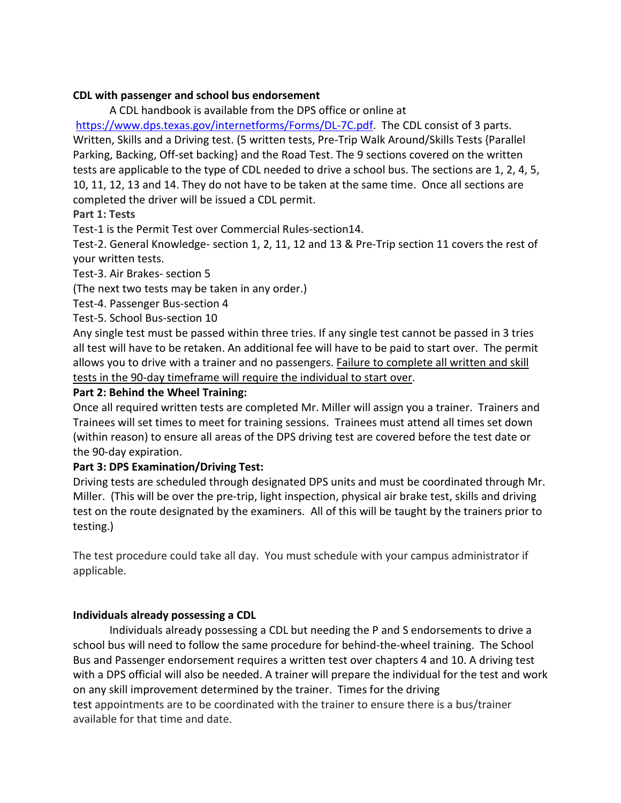### **CDL with passenger and school bus endorsement**

A CDL handbook is available from the DPS office or online at

[https://www.dps.texas.gov/internetforms/Forms/DL-7C.pdf.](https://www.dps.texas.gov/internetforms/Forms/DL-7C.pdf) The CDL consist of 3 parts. Written, Skills and a Driving test. (5 written tests, Pre-Trip Walk Around/Skills Tests {Parallel Parking, Backing, Off-set backing} and the Road Test. The 9 sections covered on the written tests are applicable to the type of CDL needed to drive a school bus. The sections are 1, 2, 4, 5, 10, 11, 12, 13 and 14. They do not have to be taken at the same time. Once all sections are completed the driver will be issued a CDL permit.

# **Part 1: Tests**

Test-1 is the Permit Test over Commercial Rules-section14.

Test-2. General Knowledge- section 1, 2, 11, 12 and 13 & Pre-Trip section 11 covers the rest of your written tests.

Test-3. Air Brakes- section 5

(The next two tests may be taken in any order.)

Test-4. Passenger Bus-section 4

Test-5. School Bus-section 10

Any single test must be passed within three tries. If any single test cannot be passed in 3 tries all test will have to be retaken. An additional fee will have to be paid to start over. The permit allows you to drive with a trainer and no passengers. Failure to complete all written and skill tests in the 90-day timeframe will require the individual to start over.

### **Part 2: Behind the Wheel Training:**

Once all required written tests are completed Mr. Miller will assign you a trainer. Trainers and Trainees will set times to meet for training sessions. Trainees must attend all times set down (within reason) to ensure all areas of the DPS driving test are covered before the test date or the 90-day expiration.

# **Part 3: DPS Examination/Driving Test:**

Driving tests are scheduled through designated DPS units and must be coordinated through Mr. Miller. (This will be over the pre-trip, light inspection, physical air brake test, skills and driving test on the route designated by the examiners. All of this will be taught by the trainers prior to testing.)

The test procedure could take all day. You must schedule with your campus administrator if applicable.

# **Individuals already possessing a CDL**

Individuals already possessing a CDL but needing the P and S endorsements to drive a school bus will need to follow the same procedure for behind-the-wheel training. The School Bus and Passenger endorsement requires a written test over chapters 4 and 10. A driving test with a DPS official will also be needed. A trainer will prepare the individual for the test and work on any skill improvement determined by the trainer. Times for the driving test appointments are to be coordinated with the trainer to ensure there is a bus/trainer available for that time and date.